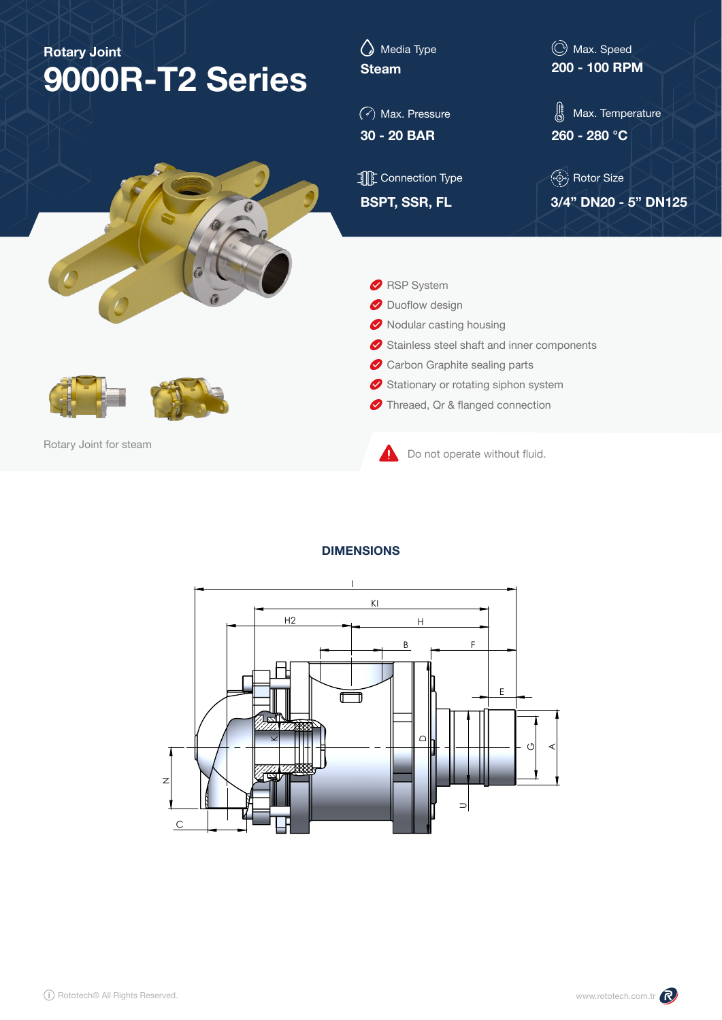| <b>Rotary Joint</b><br>9000R-T2 Series | Media Type<br>$\langle \rangle$<br><b>Steam</b>                       | C Max. Speed<br>200 - 100 RPM |  |  |  |  |  |  |  |  |  |
|----------------------------------------|-----------------------------------------------------------------------|-------------------------------|--|--|--|--|--|--|--|--|--|
|                                        | $\left(\overrightarrow{\cdot}\right)$ Max. Pressure                   | 鳰<br>Max. Temperature         |  |  |  |  |  |  |  |  |  |
|                                        | 30 - 20 BAR                                                           | 260 - 280 °C                  |  |  |  |  |  |  |  |  |  |
|                                        | <b>TE</b> Connection Type                                             | (- ) Rotor Size               |  |  |  |  |  |  |  |  |  |
|                                        | <b>BSPT, SSR, FL</b>                                                  | 3/4" DN20 - 5" DN125          |  |  |  |  |  |  |  |  |  |
|                                        | RSP System                                                            |                               |  |  |  |  |  |  |  |  |  |
|                                        | Duoflow design                                                        |                               |  |  |  |  |  |  |  |  |  |
|                                        | Nodular casting housing<br>Stainless steel shaft and inner components |                               |  |  |  |  |  |  |  |  |  |
|                                        | Carbon Graphite sealing parts                                         |                               |  |  |  |  |  |  |  |  |  |
|                                        | Stationary or rotating siphon system                                  |                               |  |  |  |  |  |  |  |  |  |
|                                        | Threaed, Qr & flanged connection                                      |                               |  |  |  |  |  |  |  |  |  |
| Rotary Joint for steam                 | Do not operate without fluid.                                         |                               |  |  |  |  |  |  |  |  |  |

## **DIMENSIONS**

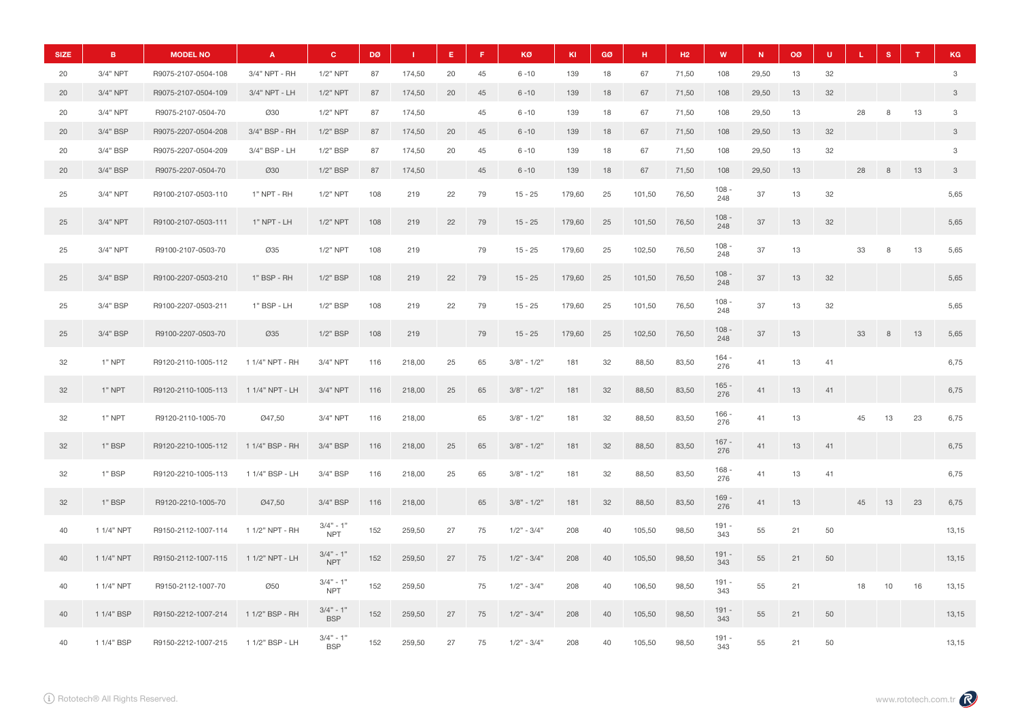| <b>SIZE</b> | B.         | <b>MODEL NO</b>     | A               | $\mathbf{C}$              | <b>DØ</b> |        | E. | F. | KØ            | KI     | GØ | H      | H2    | W              | N.    | <b>OØ</b> | U. |    | s      | $\mathbf{T}$ | <b>KG</b>    |
|-------------|------------|---------------------|-----------------|---------------------------|-----------|--------|----|----|---------------|--------|----|--------|-------|----------------|-------|-----------|----|----|--------|--------------|--------------|
| 20          | 3/4" NPT   | R9075-2107-0504-108 | 3/4" NPT - RH   | 1/2" NPT                  | 87        | 174,50 | 20 | 45 | $6 - 10$      | 139    | 18 | 67     | 71,50 | 108            | 29,50 | 13        | 32 |    |        |              | 3            |
| 20          | $3/4"$ NPT | R9075-2107-0504-109 | 3/4" NPT - LH   | 1/2" NPT                  | 87        | 174,50 | 20 | 45 | $6 - 10$      | 139    | 18 | 67     | 71,50 | 108            | 29,50 | 13        | 32 |    |        |              | $\mathbf{3}$ |
| 20          | $3/4"$ NPT | R9075-2107-0504-70  | 030             | 1/2" NPT                  | 87        | 174,50 |    | 45 | $6 - 10$      | 139    | 18 | 67     | 71,50 | 108            | 29,50 | 13        |    | 28 | 8      | 13           | 3            |
| 20          | 3/4" BSP   | R9075-2207-0504-208 | 3/4" BSP - RH   | 1/2" BSP                  | 87        | 174,50 | 20 | 45 | $6 - 10$      | 139    | 18 | 67     | 71,50 | 108            | 29,50 | 13        | 32 |    |        |              | $\mathbf{3}$ |
| 20          | 3/4" BSP   | R9075-2207-0504-209 | 3/4" BSP - LH   | 1/2" BSP                  | 87        | 174,50 | 20 | 45 | $6 - 10$      | 139    | 18 | 67     | 71,50 | 108            | 29,50 | 13        | 32 |    |        |              | 3            |
| 20          | 3/4" BSP   | R9075-2207-0504-70  | 030             | 1/2" BSP                  | 87        | 174,50 |    | 45 | $6 - 10$      | 139    | 18 | 67     | 71,50 | 108            | 29,50 | 13        |    | 28 | $\,$ 8 | 13           | $\mathbf{3}$ |
| 25          | 3/4" NPT   | R9100-2107-0503-110 | $1"$ NPT - RH   | 1/2" NPT                  | 108       | 219    | 22 | 79 | $15 - 25$     | 179,60 | 25 | 101,50 | 76,50 | $108 -$<br>248 | 37    | 13        | 32 |    |        |              | 5,65         |
| 25          | $3/4"$ NPT | R9100-2107-0503-111 | 1" NPT - LH     | 1/2" NPT                  | 108       | 219    | 22 | 79 | $15 - 25$     | 179,60 | 25 | 101,50 | 76,50 | $108 -$<br>248 | 37    | 13        | 32 |    |        |              | 5,65         |
| 25          | $3/4"$ NPT | R9100-2107-0503-70  | Ø35             | 1/2" NPT                  | 108       | 219    |    | 79 | $15 - 25$     | 179,60 | 25 | 102,50 | 76,50 | $108 -$<br>248 | 37    | 13        |    | 33 | 8      | 13           | 5,65         |
| 25          | 3/4" BSP   | R9100-2207-0503-210 | 1" BSP - RH     | $1/2$ " BSP               | 108       | 219    | 22 | 79 | $15 - 25$     | 179,60 | 25 | 101,50 | 76,50 | $108 -$<br>248 | 37    | 13        | 32 |    |        |              | 5,65         |
| 25          | 3/4" BSP   | R9100-2207-0503-211 | 1" BSP - LH     | 1/2" BSP                  | 108       | 219    | 22 | 79 | $15 - 25$     | 179,60 | 25 | 101,50 | 76,50 | $108 -$<br>248 | 37    | 13        | 32 |    |        |              | 5,65         |
| 25          | 3/4" BSP   | R9100-2207-0503-70  | Ø35             | 1/2" BSP                  | 108       | 219    |    | 79 | $15 - 25$     | 179,60 | 25 | 102,50 | 76,50 | $108 -$<br>248 | 37    | 13        |    | 33 | 8      | 13           | 5,65         |
| 32          | 1" NPT     | R9120-2110-1005-112 | 1 1/4" NPT - RH | 3/4" NPT                  | 116       | 218,00 | 25 | 65 | $3/8" - 1/2"$ | 181    | 32 | 88,50  | 83,50 | $164 -$<br>276 | 41    | 13        | 41 |    |        |              | 6,75         |
| 32          | 1" NPT     | R9120-2110-1005-113 | 1 1/4" NPT - LH | 3/4" NPT                  | 116       | 218,00 | 25 | 65 | $3/8" - 1/2"$ | 181    | 32 | 88,50  | 83,50 | $165 -$<br>276 | 41    | 13        | 41 |    |        |              | 6,75         |
| 32          | 1" NPT     | R9120-2110-1005-70  | 047,50          | 3/4" NPT                  | 116       | 218,00 |    | 65 | $3/8" - 1/2"$ | 181    | 32 | 88,50  | 83,50 | $166 -$<br>276 | 41    | 13        |    | 45 | 13     | 23           | 6,75         |
| 32          | 1" BSP     | R9120-2210-1005-112 | 1 1/4" BSP - RH | 3/4" BSP                  | 116       | 218,00 | 25 | 65 | $3/8" - 1/2"$ | 181    | 32 | 88,50  | 83,50 | $167 -$<br>276 | 41    | 13        | 41 |    |        |              | 6,75         |
| 32          | 1" BSP     | R9120-2210-1005-113 | 1 1/4" BSP - LH | 3/4" BSP                  | 116       | 218,00 | 25 | 65 | $3/8" - 1/2"$ | 181    | 32 | 88,50  | 83,50 | $168 -$<br>276 | 41    | 13        | 41 |    |        |              | 6,75         |
| 32          | 1" BSP     | R9120-2210-1005-70  | 047,50          | 3/4" BSP                  | 116       | 218,00 |    | 65 | $3/8" - 1/2"$ | 181    | 32 | 88,50  | 83,50 | $169 -$<br>276 | 41    | 13        |    | 45 | 13     | 23           | 6.75         |
| 40          | 1 1/4" NPT | R9150-2112-1007-114 | 1 1/2" NPT - RH | $3/4" - 1"$<br><b>NPT</b> | 152       | 259,50 | 27 | 75 | $1/2" - 3/4"$ | 208    | 40 | 105,50 | 98,50 | $191 -$<br>343 | 55    | 21        | 50 |    |        |              | 13,15        |
| 40          | 1 1/4" NPT | R9150-2112-1007-115 | 1 1/2" NPT - LH | $3/4" - 1"$<br><b>NPT</b> | 152       | 259,50 | 27 | 75 | $1/2" - 3/4"$ | 208    | 40 | 105,50 | 98,50 | $191 -$<br>343 | 55    | 21        | 50 |    |        |              | 13,15        |
| 40          | 1 1/4" NPT | R9150-2112-1007-70  | 050             | $3/4" - 1"$<br><b>NPT</b> | 152       | 259,50 |    | 75 | $1/2" - 3/4"$ | 208    | 40 | 106,50 | 98,50 | $191 -$<br>343 | 55    | 21        |    | 18 | 10     | 16           | 13,15        |
| 40          | 1 1/4" BSP | R9150-2212-1007-214 | 1 1/2" BSP - RH | $3/4" - 1"$<br><b>BSP</b> | 152       | 259,50 | 27 | 75 | $1/2" - 3/4"$ | 208    | 40 | 105,50 | 98,50 | $191 -$<br>343 | 55    | 21        | 50 |    |        |              | 13,15        |
| 40          | 1 1/4" BSP | R9150-2212-1007-215 | 1 1/2" BSP - LH | $3/4" - 1"$<br><b>BSP</b> | 152       | 259,50 | 27 | 75 | $1/2" - 3/4"$ | 208    | 40 | 105,50 | 98,50 | $191 -$<br>343 | 55    | 21        | 50 |    |        |              | 13,15        |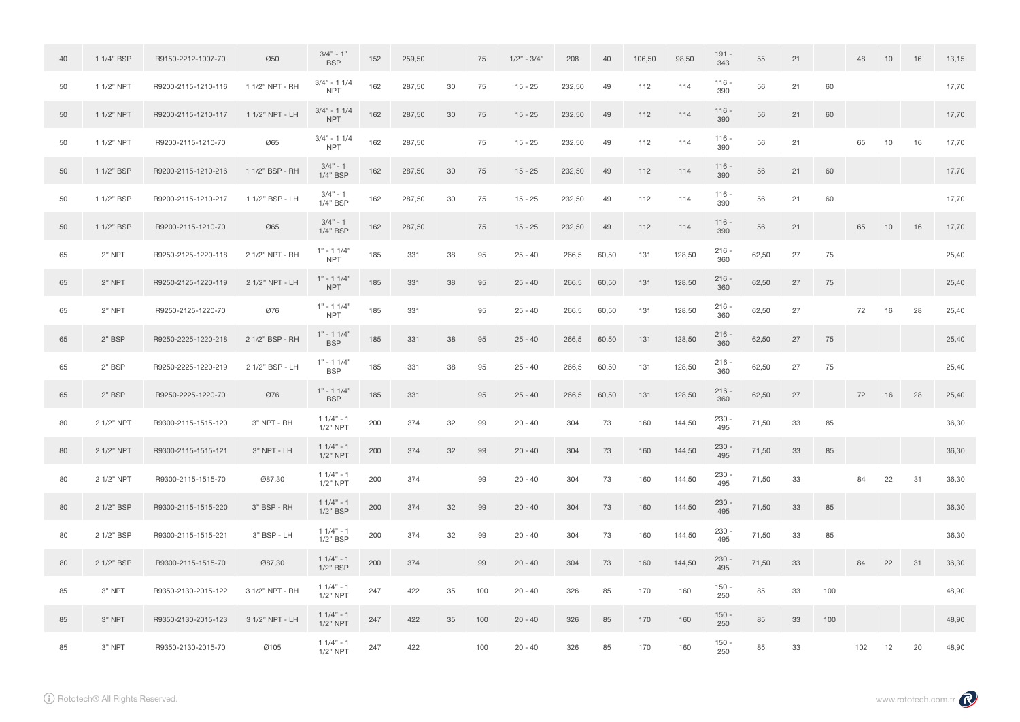| 40 | 1 1/4" BSP | R9150-2212-1007-70  | 050             | $3/4" - 1"$<br><b>BSP</b>   | 152 | 259,50 |    | 75  | $1/2" - 3/4"$ | 208    | 40    | 106,50 | 98,50  | $191 -$<br>343 | 55    | 21 |     | 48  | 10 | 16 | 13,15 |
|----|------------|---------------------|-----------------|-----------------------------|-----|--------|----|-----|---------------|--------|-------|--------|--------|----------------|-------|----|-----|-----|----|----|-------|
| 50 | 1 1/2" NPT | R9200-2115-1210-116 | 1 1/2" NPT - RH | $3/4" - 11/4$<br><b>NPT</b> | 162 | 287,50 | 30 | 75  | $15 - 25$     | 232,50 | 49    | 112    | 114    | $116 -$<br>390 | 56    | 21 | 60  |     |    |    | 17,70 |
| 50 | 1 1/2" NPT | R9200-2115-1210-117 | 1 1/2" NPT - LH | $3/4" - 11/4$<br><b>NPT</b> | 162 | 287,50 | 30 | 75  | $15 - 25$     | 232,50 | 49    | 112    | 114    | $116 -$<br>390 | 56    | 21 | 60  |     |    |    | 17,70 |
| 50 | 1 1/2" NPT | R9200-2115-1210-70  | 065             | $3/4" - 11/4$<br><b>NPT</b> | 162 | 287,50 |    | 75  | $15 - 25$     | 232,50 | 49    | 112    | 114    | $116 -$<br>390 | 56    | 21 |     | 65  | 10 | 16 | 17,70 |
| 50 | 1 1/2" BSP | R9200-2115-1210-216 | 1 1/2" BSP - RH | $3/4" - 1$<br>1/4" BSP      | 162 | 287,50 | 30 | 75  | $15 - 25$     | 232,50 | 49    | 112    | 114    | $116 -$<br>390 | 56    | 21 | 60  |     |    |    | 17,70 |
| 50 | 1 1/2" BSP | R9200-2115-1210-217 | 1 1/2" BSP - LH | $3/4" - 1$<br>1/4" BSP      | 162 | 287,50 | 30 | 75  | $15 - 25$     | 232,50 | 49    | 112    | 114    | $116 -$<br>390 | 56    | 21 | 60  |     |    |    | 17,70 |
| 50 | 1 1/2" BSP | R9200-2115-1210-70  | Ø65             | $3/4" - 1$<br>1/4" BSP      | 162 | 287,50 |    | 75  | $15 - 25$     | 232,50 | 49    | 112    | 114    | $116 -$<br>390 | 56    | 21 |     | 65  | 10 | 16 | 17,70 |
| 65 | 2" NPT     | R9250-2125-1220-118 | 2 1/2" NPT - RH | $1" - 11/4"$<br><b>NPT</b>  | 185 | 331    | 38 | 95  | $25 - 40$     | 266,5  | 60,50 | 131    | 128,50 | $216 -$<br>360 | 62,50 | 27 | 75  |     |    |    | 25,40 |
| 65 | 2" NPT     | R9250-2125-1220-119 | 2 1/2" NPT - LH | $1" - 11/4"$<br><b>NPT</b>  | 185 | 331    | 38 | 95  | $25 - 40$     | 266,5  | 60,50 | 131    | 128,50 | $216 -$<br>360 | 62,50 | 27 | 75  |     |    |    | 25,40 |
| 65 | 2" NPT     | R9250-2125-1220-70  | 076             | $1" - 11/4"$<br><b>NPT</b>  | 185 | 331    |    | 95  | $25 - 40$     | 266,5  | 60,50 | 131    | 128,50 | $216 -$<br>360 | 62,50 | 27 |     | 72  | 16 | 28 | 25,40 |
| 65 | 2" BSP     | R9250-2225-1220-218 | 2 1/2" BSP - RH | $1" - 11/4"$<br><b>BSP</b>  | 185 | 331    | 38 | 95  | $25 - 40$     | 266,5  | 60,50 | 131    | 128,50 | $216 -$<br>360 | 62,50 | 27 | 75  |     |    |    | 25,40 |
| 65 | $2"$ BSP   | R9250-2225-1220-219 | 2 1/2" BSP - LH | $1" - 11/4"$<br><b>BSP</b>  | 185 | 331    | 38 | 95  | $25 - 40$     | 266,5  | 60,50 | 131    | 128,50 | $216 -$<br>360 | 62,50 | 27 | 75  |     |    |    | 25,40 |
| 65 | 2" BSP     | R9250-2225-1220-70  | 076             | $1" - 11/4"$<br><b>BSP</b>  | 185 | 331    |    | 95  | $25 - 40$     | 266,5  | 60,50 | 131    | 128,50 | $216 -$<br>360 | 62,50 | 27 |     | 72  | 16 | 28 | 25,40 |
| 80 | 2 1/2" NPT | R9300-2115-1515-120 | 3" NPT - RH     | $11/4" - 1$<br>$1/2$ " NPT  | 200 | 374    | 32 | 99  | $20 - 40$     | 304    | 73    | 160    | 144,50 | $230 -$<br>495 | 71,50 | 33 | 85  |     |    |    | 36,30 |
| 80 | 2 1/2" NPT | R9300-2115-1515-121 | 3" NPT - LH     | $11/4" - 1$<br>$1/2$ " NPT  | 200 | 374    | 32 | 99  | $20 - 40$     | 304    | 73    | 160    | 144,50 | $230 -$<br>495 | 71,50 | 33 | 85  |     |    |    | 36,30 |
| 80 | 2 1/2" NPT | R9300-2115-1515-70  | 087,30          | $11/4" - 1$<br>$1/2"$ NPT   | 200 | 374    |    | 99  | $20 - 40$     | 304    | 73    | 160    | 144,50 | $230 -$<br>495 | 71,50 | 33 |     | 84  | 22 | 31 | 36,30 |
| 80 | 2 1/2" BSP | R9300-2115-1515-220 | 3" BSP - RH     | $11/4" - 1$<br>1/2" BSP     | 200 | 374    | 32 | 99  | $20 - 40$     | 304    | 73    | 160    | 144,50 | $230 -$<br>495 | 71,50 | 33 | 85  |     |    |    | 36,30 |
| 80 | 2 1/2" BSP | R9300-2115-1515-221 | 3" BSP - LH     | $11/4" - 1$<br>$1/2$ " BSP  | 200 | 374    | 32 | 99  | $20 - 40$     | 304    | 73    | 160    | 144,50 | $230 -$<br>495 | 71,50 | 33 | 85  |     |    |    | 36,30 |
| 80 | 2 1/2" BSP | R9300-2115-1515-70  | 087,30          | $11/4" - 1$<br>1/2" BSP     | 200 | 374    |    | 99  | $20 - 40$     | 304    | 73    | 160    | 144,50 | $230 -$<br>495 | 71,50 | 33 |     | 84  | 22 | 31 | 36,30 |
| 85 | 3" NPT     | R9350-2130-2015-122 | 3 1/2" NPT - RH | $11/4" - 1$<br>$1/2$ " NPT  | 247 | 422    | 35 | 100 | $20 - 40$     | 326    | 85    | 170    | 160    | $150 -$<br>250 | 85    | 33 | 100 |     |    |    | 48,90 |
| 85 | 3" NPT     | R9350-2130-2015-123 | 3 1/2" NPT - LH | $11/4" - 1$<br>$1/2"$ NPT   | 247 | 422    | 35 | 100 | $20 - 40$     | 326    | 85    | 170    | 160    | $150 -$<br>250 | 85    | 33 | 100 |     |    |    | 48,90 |
| 85 | 3" NPT     | R9350-2130-2015-70  | Ø105            | $11/4" - 1$<br>$1/2"$ NPT   | 247 | 422    |    | 100 | $20 - 40$     | 326    | 85    | 170    | 160    | 150<br>250     | 85    | 33 |     | 102 | 12 | 20 | 48,90 |